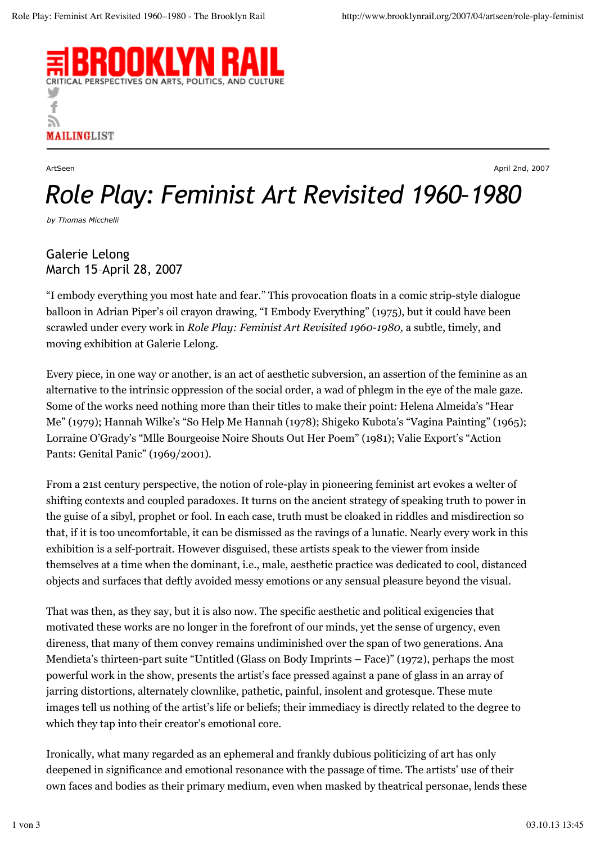

ArtSeen April 2nd, 2007

## *Role Play: Feminist Art Revisited 1960–1980*

*by Thomas Micchelli*

## Galerie Lelong March 15–April 28, 2007

"I embody everything you most hate and fear." This provocation floats in a comic strip-style dialogue balloon in Adrian Piper's oil crayon drawing, "I Embody Everything" (1975), but it could have been scrawled under every work in *Role Play: Feminist Art Revisited 1960-1980,* a subtle, timely, and moving exhibition at Galerie Lelong.

Every piece, in one way or another, is an act of aesthetic subversion, an assertion of the feminine as an alternative to the intrinsic oppression of the social order, a wad of phlegm in the eye of the male gaze. Some of the works need nothing more than their titles to make their point: Helena Almeida's "Hear Me" (1979); Hannah Wilke's "So Help Me Hannah (1978); Shigeko Kubota's "Vagina Painting" (1965); Lorraine O'Grady's "Mlle Bourgeoise Noire Shouts Out Her Poem" (1981); Valie Export's "Action Pants: Genital Panic" (1969/2001).

From a 21st century perspective, the notion of role-play in pioneering feminist art evokes a welter of shifting contexts and coupled paradoxes. It turns on the ancient strategy of speaking truth to power in the guise of a sibyl, prophet or fool. In each case, truth must be cloaked in riddles and misdirection so that, if it is too uncomfortable, it can be dismissed as the ravings of a lunatic. Nearly every work in this exhibition is a self-portrait. However disguised, these artists speak to the viewer from inside themselves at a time when the dominant, i.e., male, aesthetic practice was dedicated to cool, distanced objects and surfaces that deftly avoided messy emotions or any sensual pleasure beyond the visual.

That was then, as they say, but it is also now. The specific aesthetic and political exigencies that motivated these works are no longer in the forefront of our minds, yet the sense of urgency, even direness, that many of them convey remains undiminished over the span of two generations. Ana Mendieta's thirteen-part suite "Untitled (Glass on Body Imprints – Face)" (1972), perhaps the most powerful work in the show, presents the artist's face pressed against a pane of glass in an array of jarring distortions, alternately clownlike, pathetic, painful, insolent and grotesque. These mute images tell us nothing of the artist's life or beliefs; their immediacy is directly related to the degree to which they tap into their creator's emotional core.

Ironically, what many regarded as an ephemeral and frankly dubious politicizing of art has only deepened in significance and emotional resonance with the passage of time. The artists' use of their own faces and bodies as their primary medium, even when masked by theatrical personae, lends these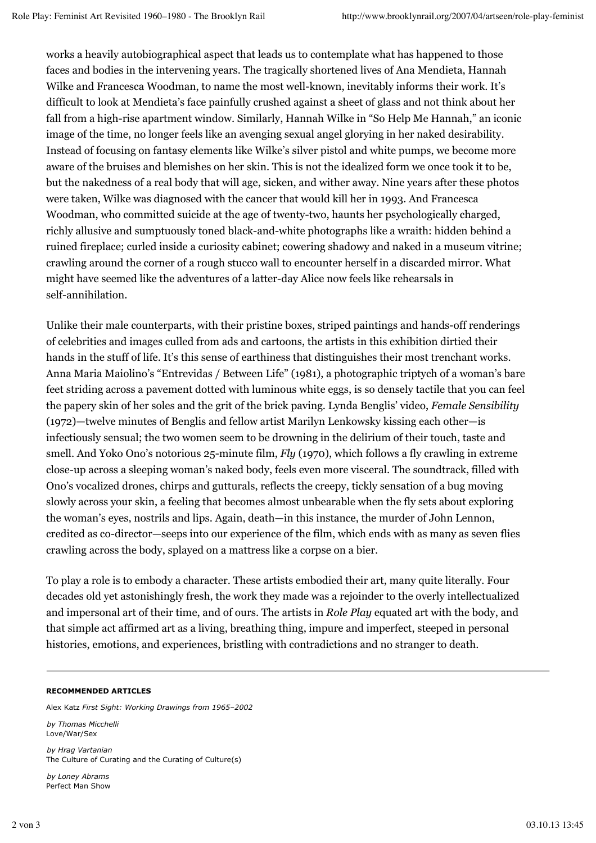works a heavily autobiographical aspect that leads us to contemplate what has happened to those faces and bodies in the intervening years. The tragically shortened lives of Ana Mendieta, Hannah Wilke and Francesca Woodman, to name the most well-known, inevitably informs their work. It's difficult to look at Mendieta's face painfully crushed against a sheet of glass and not think about her fall from a high-rise apartment window. Similarly, Hannah Wilke in "So Help Me Hannah," an iconic image of the time, no longer feels like an avenging sexual angel glorying in her naked desirability. Instead of focusing on fantasy elements like Wilke's silver pistol and white pumps, we become more aware of the bruises and blemishes on her skin. This is not the idealized form we once took it to be, but the nakedness of a real body that will age, sicken, and wither away. Nine years after these photos were taken, Wilke was diagnosed with the cancer that would kill her in 1993. And Francesca Woodman, who committed suicide at the age of twenty-two, haunts her psychologically charged, richly allusive and sumptuously toned black-and-white photographs like a wraith: hidden behind a ruined fireplace; curled inside a curiosity cabinet; cowering shadowy and naked in a museum vitrine; crawling around the corner of a rough stucco wall to encounter herself in a discarded mirror. What might have seemed like the adventures of a latter-day Alice now feels like rehearsals in self-annihilation.

Unlike their male counterparts, with their pristine boxes, striped paintings and hands-off renderings of celebrities and images culled from ads and cartoons, the artists in this exhibition dirtied their hands in the stuff of life. It's this sense of earthiness that distinguishes their most trenchant works. Anna Maria Maiolino's "Entrevidas / Between Life" (1981), a photographic triptych of a woman's bare feet striding across a pavement dotted with luminous white eggs, is so densely tactile that you can feel the papery skin of her soles and the grit of the brick paving. Lynda Benglis' video, *Female Sensibility* (1972)—twelve minutes of Benglis and fellow artist Marilyn Lenkowsky kissing each other—is infectiously sensual; the two women seem to be drowning in the delirium of their touch, taste and smell. And Yoko Ono's notorious 25-minute film, *Fly* (1970), which follows a fly crawling in extreme close-up across a sleeping woman's naked body, feels even more visceral. The soundtrack, filled with Ono's vocalized drones, chirps and gutturals, reflects the creepy, tickly sensation of a bug moving slowly across your skin, a feeling that becomes almost unbearable when the fly sets about exploring the woman's eyes, nostrils and lips. Again, death—in this instance, the murder of John Lennon, credited as co-director—seeps into our experience of the film, which ends with as many as seven flies crawling across the body, splayed on a mattress like a corpse on a bier.

To play a role is to embody a character. These artists embodied their art, many quite literally. Four decades old yet astonishingly fresh, the work they made was a rejoinder to the overly intellectualized and impersonal art of their time, and of ours. The artists in *Role Play* equated art with the body, and that simple act affirmed art as a living, breathing thing, impure and imperfect, steeped in personal histories, emotions, and experiences, bristling with contradictions and no stranger to death.

## **RECOMMENDED ARTICLES**

Alex Katz *First Sight: Working Drawings from 1965–2002*

*by Thomas Micchelli* Love/War/Sex

*by Hrag Vartanian* The Culture of Curating and the Curating of Culture(s)

*by Loney Abrams* Perfect Man Show